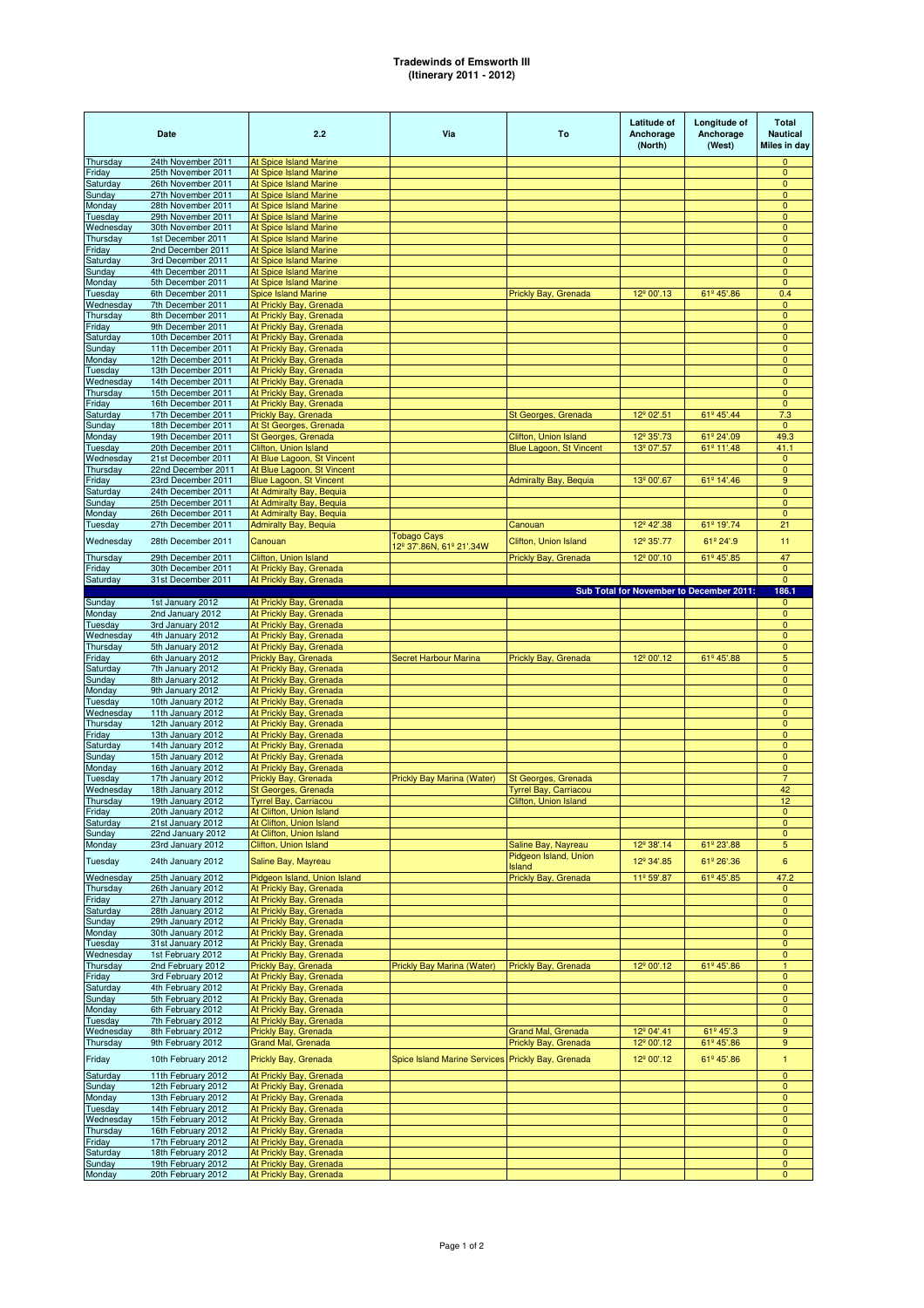## **Tradewinds of Emsworth III (Itinerary 2011 - 2012)**

|                      | Date                                     | 2.2                                                            | Via                                               | To                                     | Latitude of<br>Anchorage<br>(North) | Longitude of<br>Anchorage<br>(West)      | <b>Total</b><br><b>Nautical</b><br>Miles in day |
|----------------------|------------------------------------------|----------------------------------------------------------------|---------------------------------------------------|----------------------------------------|-------------------------------------|------------------------------------------|-------------------------------------------------|
| Thursday             | 24th November 2011                       | <b>At Spice Island Marine</b>                                  |                                                   |                                        |                                     |                                          | 0                                               |
| Friday<br>Saturday   | 25th November 2011<br>26th November 2011 | <b>At Spice Island Marine</b><br><b>At Spice Island Marine</b> |                                                   |                                        |                                     |                                          | $\pmb{0}$<br>$\mathbf{0}$                       |
| <b>Sunday</b>        | 27th November 2011                       | <b>At Spice Island Marine</b>                                  |                                                   |                                        |                                     |                                          | $\mathbf{0}$                                    |
| Monday               | 28th November 2011                       | <b>At Spice Island Marine</b>                                  |                                                   |                                        |                                     |                                          | 0                                               |
| Tuesday              | 29th November 2011                       | <b>At Spice Island Marine</b>                                  |                                                   |                                        |                                     |                                          | $\pmb{0}$                                       |
| Wednesday            | 30th November 2011                       | <b>At Spice Island Marine</b>                                  |                                                   |                                        |                                     |                                          | $\overline{0}$                                  |
| Thursday             | 1st December 2011                        | <b>At Spice Island Marine</b>                                  |                                                   |                                        |                                     |                                          | 0                                               |
| Friday               | 2nd December 2011                        | <b>At Spice Island Marine</b>                                  |                                                   |                                        |                                     |                                          | $\pmb{0}$                                       |
| Saturday<br>Sunday   | 3rd December 2011<br>4th December 2011   | <b>At Spice Island Marine</b><br><b>At Spice Island Marine</b> |                                                   |                                        |                                     |                                          | $\mathbf 0$<br>0                                |
| Monday               | 5th December 2011                        | At Spice Island Marine                                         |                                                   |                                        |                                     |                                          | $\mathbf 0$                                     |
| Tuesday              | 6th December 2011                        | <b>Spice Island Marine</b>                                     |                                                   | Prickly Bay, Grenada                   | 12 <sup>°</sup> 00'.13              | 61º 45'.86                               | 0.4                                             |
| Wednesday            | 7th December 2011                        | At Prickly Bay, Grenada                                        |                                                   |                                        |                                     |                                          | $\mathbf{0}$                                    |
| Thursday             | 8th December 2011                        | At Prickly Bay, Grenada                                        |                                                   |                                        |                                     |                                          | $\pmb{0}$                                       |
| Friday               | 9th December 2011                        | At Prickly Bay, Grenada                                        |                                                   |                                        |                                     |                                          | 0                                               |
| Saturday             | 10th December 2011                       | At Prickly Bay, Grenada                                        |                                                   |                                        |                                     |                                          | $\mathbf 0$                                     |
| Sunday               | 11th December 2011                       | At Prickly Bay, Grenada                                        |                                                   |                                        |                                     |                                          | $\mathbf{0}$                                    |
| Monday               | 12th December 2011                       | At Prickly Bay, Grenada                                        |                                                   |                                        |                                     |                                          | 0                                               |
| Tuesday<br>Wednesday | 13th December 2011<br>14th December 2011 | At Prickly Bay, Grenada<br>At Prickly Bay, Grenada             |                                                   |                                        |                                     |                                          | $\pmb{0}$<br>$\mathbf 0$                        |
| Thursday             | 15th December 2011                       | At Prickly Bay, Grenada                                        |                                                   |                                        |                                     |                                          | $\mathbf 0$                                     |
| Friday               | 16th December 2011                       | At Prickly Bay, Grenada                                        |                                                   |                                        |                                     |                                          | $\mathbf{0}$                                    |
| Saturday             | 17th December 2011                       | Prickly Bay, Grenada                                           |                                                   | St Georges, Grenada                    | 12 <sup>°</sup> 02'.51              | 61º 45'.44                               | 7.3                                             |
| Sunday               | 18th December 2011                       | At St Georges, Grenada                                         |                                                   |                                        |                                     |                                          | $\mathbf{0}$                                    |
| Monday               | 19th December 2011                       | St Georges, Grenada                                            |                                                   | Clifton, Union Island                  | 12 <sup>°</sup> 35'.73              | 61º 24'.09                               | 49.3                                            |
| Tuesday              | 20th December 2011                       | Clifton, Union Island                                          |                                                   | Blue Lagoon, St Vincent                | 13 <sup>º</sup> 07'.57              | 61º 11'.48                               | 41.1                                            |
| Wednesday            | 21st December 2011                       | At Blue Lagoon, St Vincent                                     |                                                   |                                        |                                     |                                          | $\mathbf{0}$                                    |
| Thursday             | 22nd December 2011                       | At Blue Lagoon, St Vincent                                     |                                                   |                                        |                                     |                                          | $\pmb{0}$                                       |
| Friday               | 23rd December 2011                       | Blue Lagoon, St Vincent                                        |                                                   | <b>Admiralty Bay, Bequia</b>           | 13 <sup>°</sup> 00'.67              | 61º 14'.46                               | 9                                               |
| Saturday<br>Sunday   | 24th December 2011<br>25th December 2011 | At Admiralty Bay, Bequia<br>At Admiralty Bay, Bequia           |                                                   |                                        |                                     |                                          | $\pmb{0}$<br>$\mathbf 0$                        |
| Monday               | 26th December 2011                       | At Admiralty Bay, Bequia                                       |                                                   |                                        |                                     |                                          | $\mathbf 0$                                     |
| Tuesday              | 27th December 2011                       | <b>Admiralty Bay, Bequia</b>                                   |                                                   | Canouan                                | 12 <sup>°</sup> 42'.38              | 61º 19'.74                               | 21                                              |
|                      |                                          |                                                                | <b>Tobago Cays</b>                                |                                        |                                     |                                          |                                                 |
| Wednesday            | 28th December 2011                       | Canouan                                                        | 12 <sup>°</sup> 37'.86N, 61° 21'.34W              | Clifton, Union Island                  | 12 <sup>°</sup> 35'.77              | 61º 24'.9                                | 11                                              |
| Thursday             | 29th December 2011                       | Clifton, Union Island                                          |                                                   | Prickly Bay, Grenada                   | 12 <sup>°</sup> 00'.10              | 61 <sup>°</sup> 45'.85                   | 47                                              |
| Friday               | 30th December 2011                       | At Prickly Bay, Grenada                                        |                                                   |                                        |                                     |                                          | $\mathbf 0$                                     |
| Saturday             | 31st December 2011                       | At Prickly Bay, Grenada                                        |                                                   |                                        |                                     |                                          | $\mathbf{0}$                                    |
|                      |                                          |                                                                |                                                   |                                        |                                     | Sub Total for November to December 2011: | 186.1                                           |
| Sunday               | 1st January 2012                         | At Prickly Bay, Grenada                                        |                                                   |                                        |                                     |                                          | 0                                               |
| Monday<br>Tuesday    | 2nd January 2012<br>3rd January 2012     | At Prickly Bay, Grenada<br>At Prickly Bay, Grenada             |                                                   |                                        |                                     |                                          | $\mathbf 0$<br>$\mathbf 0$                      |
| Wednesday            | 4th January 2012                         | At Prickly Bay, Grenada                                        |                                                   |                                        |                                     |                                          | $\mathbf 0$                                     |
| Thursday             | 5th January 2012                         | At Prickly Bay, Grenada                                        |                                                   |                                        |                                     |                                          | $\pmb{0}$                                       |
| Friday               | 6th January 2012                         | Prickly Bay, Grenada                                           | <b>Secret Harbour Marina</b>                      | Prickly Bay, Grenada                   | 12 <sup>°</sup> 00'.12              | 61º 45'.88                               | 5                                               |
| Saturday             | 7th January 2012                         | At Prickly Bay, Grenada                                        |                                                   |                                        |                                     |                                          | $\pmb{0}$                                       |
| Sunday               | 8th January 2012                         | At Prickly Bay, Grenada                                        |                                                   |                                        |                                     |                                          | $\mathbf 0$                                     |
| Monday               | 9th January 2012                         | At Prickly Bay, Grenada                                        |                                                   |                                        |                                     |                                          | 0                                               |
| Tuesday              | 10th January 2012                        | At Prickly Bay, Grenada                                        |                                                   |                                        |                                     |                                          | $\pmb{0}$                                       |
| Wednesday            | 11th January 2012                        | At Prickly Bay, Grenada                                        |                                                   |                                        |                                     |                                          | 0                                               |
| Thursday             | 12th January 2012                        | At Prickly Bay, Grenada                                        |                                                   |                                        |                                     |                                          | $\pmb{0}$                                       |
| Friday<br>Saturday   | 13th January 2012<br>14th January 2012   | At Prickly Bay, Grenada<br>At Prickly Bay, Grenada             |                                                   |                                        |                                     |                                          | $\pmb{0}$<br>$\mathbf{0}$                       |
| Sunday               | 15th January 2012                        | At Prickly Bay, Grenada                                        |                                                   |                                        |                                     |                                          | $\mathbf 0$                                     |
| Monday               | 16th January 2012                        | At Prickly Bay, Grenada                                        |                                                   |                                        |                                     |                                          | $\pmb{0}$                                       |
| Tuesday              | 17th January 2012                        | Prickly Bay, Grenada                                           | <b>Prickly Bay Marina (Water)</b>                 | St Georges, Grenada                    |                                     |                                          | $\overline{7}$                                  |
| Wednesday            | 18th January 2012                        | <b>St Georges, Grenada</b>                                     |                                                   | <b>Tyrrel Bay, Carriacou</b>           |                                     |                                          | 42                                              |
| Thursday             | 19th January 2012                        | <b>Tyrrel Bay, Carriacou</b>                                   |                                                   | Clifton, Union Island                  |                                     |                                          | 12                                              |
| Friday               | 20th January 2012                        | At Clifton, Union Island                                       |                                                   |                                        |                                     |                                          | 0.                                              |
| Saturday             | 21st January 2012                        | At Clifton, Union Island                                       |                                                   |                                        |                                     |                                          | $\overline{0}$                                  |
| Sunday               | 22nd January 2012                        | At Clifton, Union Island                                       |                                                   |                                        |                                     |                                          | $\mathbf{0}$                                    |
| Monday               | 23rd January 2012                        | Clifton, Union Island                                          |                                                   | Saline Bay, Nayreau                    | 12 <sup>°</sup> 38'.14              | 61º 23'.88                               | 5                                               |
| Tuesday              | 24th January 2012                        | Saline Bay, Mayreau                                            |                                                   | Pidgeon Island, Union<br><b>Island</b> | 12 <sup>°</sup> 34'.85              | 61º 26'.36                               | 6                                               |
| Wednesday            | 25th January 2012                        | Pidgeon Island, Union Island                                   |                                                   | Prickly Bay, Grenada                   | 11 <sup>º</sup> 59'.87              | 61 <sup>°</sup> 45'.85                   | 47.2                                            |
| Thursday             | 26th January 2012                        | At Prickly Bay, Grenada                                        |                                                   |                                        |                                     |                                          | $\mathbf{0}$                                    |
| Friday               | 27th January 2012                        | At Prickly Bay, Grenada                                        |                                                   |                                        |                                     |                                          | $\mathbf{0}$                                    |
| Saturday             | 28th January 2012                        | At Prickly Bay, Grenada                                        |                                                   |                                        |                                     |                                          | $\mathbf{0}$                                    |
| Sunday               | 29th January 2012                        | At Prickly Bay, Grenada                                        |                                                   |                                        |                                     |                                          | $\mathbf{0}$                                    |
| Monday               | 30th January 2012                        | At Prickly Bay, Grenada                                        |                                                   |                                        |                                     |                                          | 0                                               |
| Tuesday              | 31st January 2012                        | At Prickly Bay, Grenada                                        |                                                   |                                        |                                     |                                          | $\mathbf 0$                                     |
| Wednesday            | 1st February 2012                        | At Prickly Bay, Grenada                                        |                                                   |                                        |                                     |                                          | $\mathbf 0$                                     |
| Thursday             | 2nd February 2012                        | Prickly Bay, Grenada                                           | Prickly Bay Marina (Water)                        | Prickly Bay, Grenada                   | 12 <sup>°</sup> 00'.12              | 61 <sup>°</sup> 45'.86                   | 1                                               |
| Friday               | 3rd February 2012                        | At Prickly Bay, Grenada                                        |                                                   |                                        |                                     |                                          | $\mathbf{0}$<br>$\mathbf{0}$                    |
| Saturday<br>Sunday   | 4th February 2012<br>5th February 2012   | At Prickly Bay, Grenada<br>At Prickly Bay, Grenada             |                                                   |                                        |                                     |                                          | $\mathbf{0}$                                    |
| Monday               | 6th February 2012                        | At Prickly Bay, Grenada                                        |                                                   |                                        |                                     |                                          | $\mathbf 0$                                     |
| Tuesday              | 7th February 2012                        | At Prickly Bay, Grenada                                        |                                                   |                                        |                                     |                                          | $\pmb{0}$                                       |
| Wednesday            | 8th February 2012                        | Prickly Bay, Grenada                                           |                                                   | <b>Grand Mal, Grenada</b>              | 12 <sup>°</sup> 04'.41              | 61º 45'.3                                | 9                                               |
| Thursday             | 9th February 2012                        | Grand Mal, Grenada                                             |                                                   | Prickly Bay, Grenada                   | 12 <sup>°</sup> 00'.12              | 61º 45'.86                               | $\boldsymbol{9}$                                |
| Friday               | 10th February 2012                       | Prickly Bay, Grenada                                           | Spice Island Marine Services Prickly Bay, Grenada |                                        | 12 <sup>°</sup> 00'.12              | 61º 45'.86                               | $\mathbf{1}$                                    |
|                      |                                          |                                                                |                                                   |                                        |                                     |                                          |                                                 |
| Saturday             | 11th February 2012                       | At Prickly Bay, Grenada                                        |                                                   |                                        |                                     |                                          | $\mathbf 0$                                     |
| Sunday               | 12th February 2012                       | At Prickly Bay, Grenada                                        |                                                   |                                        |                                     |                                          | $\mathbf{0}$                                    |
| Monday               | 13th February 2012<br>14th February 2012 | At Prickly Bay, Grenada<br>At Prickly Bay, Grenada             |                                                   |                                        |                                     |                                          | $\mathbf{0}$<br>$\mathbf{0}$                    |
| Tuesday<br>Wednesday | 15th February 2012                       | At Prickly Bay, Grenada                                        |                                                   |                                        |                                     |                                          | $\mathbf{0}$                                    |
| Thursday             | 16th February 2012                       | At Prickly Bay, Grenada                                        |                                                   |                                        |                                     |                                          | $\mathbf{0}$                                    |
| Friday               | 17th February 2012                       | At Prickly Bay, Grenada                                        |                                                   |                                        |                                     |                                          | $\pmb{0}$                                       |
| Saturday             | 18th February 2012                       | At Prickly Bay, Grenada                                        |                                                   |                                        |                                     |                                          | $\mathbf{0}$                                    |
| Sunday               | 19th February 2012                       | At Prickly Bay, Grenada                                        |                                                   |                                        |                                     |                                          | $\mathbf{0}$                                    |
| Monday               | 20th February 2012                       | At Prickly Bay, Grenada                                        |                                                   |                                        |                                     |                                          | $\mathbf 0$                                     |